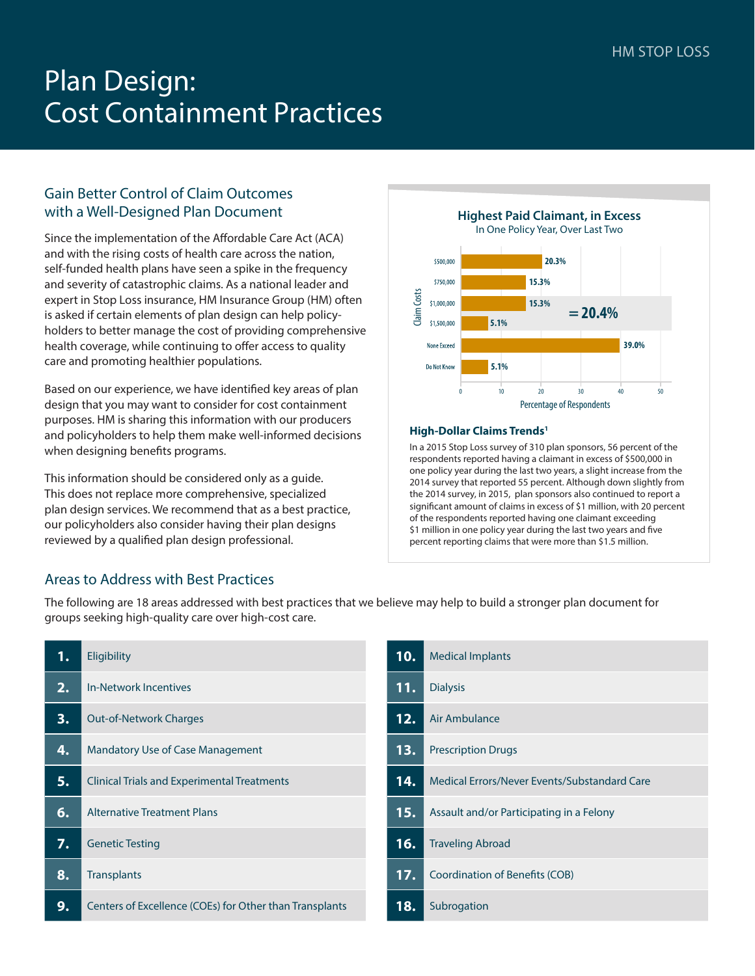# Plan Design: Cost Containment Practices

# Gain Better Control of Claim Outcomes with a Well-Designed Plan Document

Since the implementation of the Affordable Care Act (ACA) and with the rising costs of health care across the nation, self-funded health plans have seen a spike in the frequency and severity of catastrophic claims. As a national leader and expert in Stop Loss insurance, HM Insurance Group (HM) often is asked if certain elements of plan design can help policyholders to better manage the cost of providing comprehensive health coverage, while continuing to offer access to quality care and promoting healthier populations.

Based on our experience, we have identified key areas of plan design that you may want to consider for cost containment purposes. HM is sharing this information with our producers and policyholders to help them make well-informed decisions when designing benefits programs.

This information should be considered only as a guide. This does not replace more comprehensive, specialized plan design services. We recommend that as a best practice, our policyholders also consider having their plan designs reviewed by a qualified plan design professional.



#### **High-Dollar Claims Trends1**

In a 2015 Stop Loss survey of 310 plan sponsors, 56 percent of the respondents reported having a claimant in excess of \$500,000 in one policy year during the last two years, a slight increase from the 2014 survey that reported 55 percent. Although down slightly from the 2014 survey, in 2015, plan sponsors also continued to report a significant amount of claims in excess of \$1 million, with 20 percent of the respondents reported having one claimant exceeding \$1 million in one policy year during the last two years and five percent reporting claims that were more than \$1.5 million.

## Areas to Address with Best Practices

The following are 18 areas addressed with best practices that we believe may help to build a stronger plan document for groups seeking high-quality care over high-cost care.

| 1. | Eligibility                                             |
|----|---------------------------------------------------------|
| 2. | In-Network Incentives                                   |
| 3. | <b>Out-of-Network Charges</b>                           |
| 4. | <b>Mandatory Use of Case Management</b>                 |
| 5. | <b>Clinical Trials and Experimental Treatments</b>      |
| 6. | <b>Alternative Treatment Plans</b>                      |
| 7. | <b>Genetic Testing</b>                                  |
| 8. | <b>Transplants</b>                                      |
|    | Centers of Excellence (COEs) for Other than Transplants |

| 10.                    | <b>Medical Implants</b>                      |
|------------------------|----------------------------------------------|
| 11.<br><b>Dialysis</b> |                                              |
| 12.                    | Air Ambulance                                |
| 13.                    | <b>Prescription Drugs</b>                    |
| 14.                    | Medical Frrors/Never Events/Substandard Care |
| 15.                    | Assault and/or Participating in a Felony     |
| 16.                    | <b>Traveling Abroad</b>                      |
| 17.                    | Coordination of Benefits (COB)               |
| 18.                    | Subrogation                                  |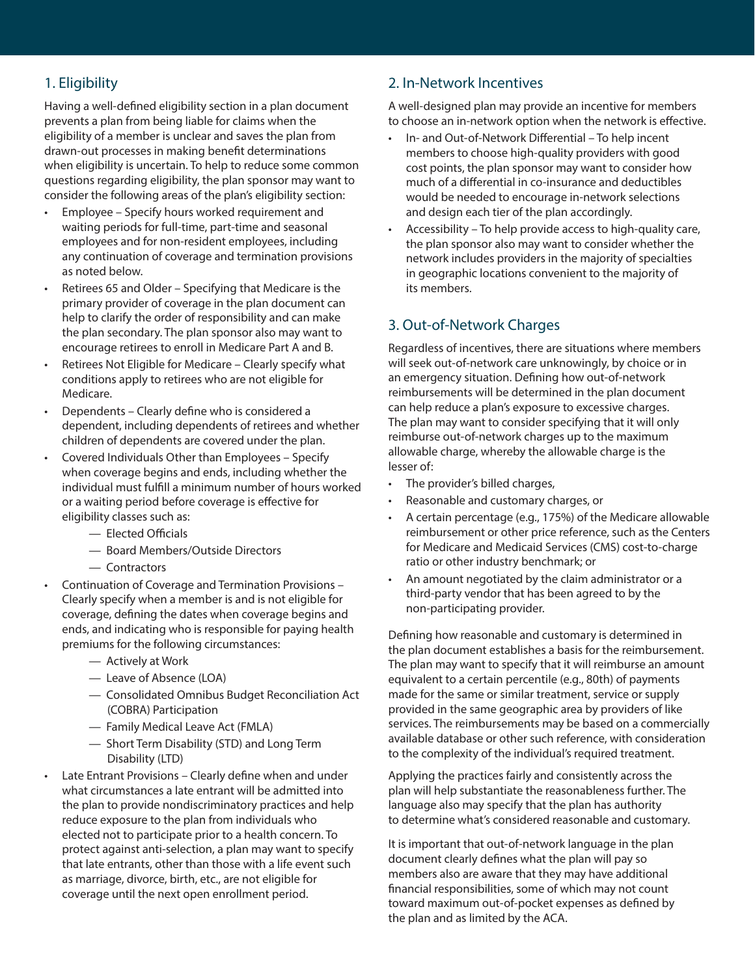# 1. Eligibility

Having a well-defined eligibility section in a plan document prevents a plan from being liable for claims when the eligibility of a member is unclear and saves the plan from drawn-out processes in making benefit determinations when eligibility is uncertain. To help to reduce some common questions regarding eligibility, the plan sponsor may want to consider the following areas of the plan's eligibility section:

- Employee Specify hours worked requirement and waiting periods for full-time, part-time and seasonal employees and for non-resident employees, including any continuation of coverage and termination provisions as noted below.
- Retirees 65 and Older Specifying that Medicare is the primary provider of coverage in the plan document can help to clarify the order of responsibility and can make the plan secondary. The plan sponsor also may want to encourage retirees to enroll in Medicare Part A and B.
- Retirees Not Eligible for Medicare Clearly specify what conditions apply to retirees who are not eligible for Medicare.
- Dependents Clearly define who is considered a dependent, including dependents of retirees and whether children of dependents are covered under the plan.
- Covered Individuals Other than Employees Specify when coverage begins and ends, including whether the individual must fulfill a minimum number of hours worked or a waiting period before coverage is effective for eligibility classes such as:
	- Elected Officials
	- Board Members/Outside Directors
	- Contractors
- Continuation of Coverage and Termination Provisions Clearly specify when a member is and is not eligible for coverage, defining the dates when coverage begins and ends, and indicating who is responsible for paying health premiums for the following circumstances:
	- Actively at Work
	- Leave of Absence (LOA)
	- Consolidated Omnibus Budget Reconciliation Act (COBRA) Participation
	- Family Medical Leave Act (FMLA)
	- Short Term Disability (STD) and Long Term Disability (LTD)
- Late Entrant Provisions Clearly define when and under what circumstances a late entrant will be admitted into the plan to provide nondiscriminatory practices and help reduce exposure to the plan from individuals who elected not to participate prior to a health concern. To protect against anti-selection, a plan may want to specify that late entrants, other than those with a life event such as marriage, divorce, birth, etc., are not eligible for coverage until the next open enrollment period.

#### 2. In-Network Incentives

A well-designed plan may provide an incentive for members to choose an in-network option when the network is effective.

- In- and Out-of-Network Differential To help incent members to choose high-quality providers with good cost points, the plan sponsor may want to consider how much of a differential in co-insurance and deductibles would be needed to encourage in-network selections and design each tier of the plan accordingly.
- Accessibility To help provide access to high-quality care, the plan sponsor also may want to consider whether the network includes providers in the majority of specialties in geographic locations convenient to the majority of its members.

# 3. Out-of-Network Charges

Regardless of incentives, there are situations where members will seek out-of-network care unknowingly, by choice or in an emergency situation. Defining how out-of-network reimbursements will be determined in the plan document can help reduce a plan's exposure to excessive charges. The plan may want to consider specifying that it will only reimburse out-of-network charges up to the maximum allowable charge, whereby the allowable charge is the lesser of:

- The provider's billed charges,
- Reasonable and customary charges, or
- A certain percentage (e.g., 175%) of the Medicare allowable reimbursement or other price reference, such as the Centers for Medicare and Medicaid Services (CMS) cost-to-charge ratio or other industry benchmark; or
- An amount negotiated by the claim administrator or a third-party vendor that has been agreed to by the non-participating provider.

Defining how reasonable and customary is determined in the plan document establishes a basis for the reimbursement. The plan may want to specify that it will reimburse an amount equivalent to a certain percentile (e.g., 80th) of payments made for the same or similar treatment, service or supply provided in the same geographic area by providers of like services. The reimbursements may be based on a commercially available database or other such reference, with consideration to the complexity of the individual's required treatment.

Applying the practices fairly and consistently across the plan will help substantiate the reasonableness further. The language also may specify that the plan has authority to determine what's considered reasonable and customary.

It is important that out-of-network language in the plan document clearly defines what the plan will pay so members also are aware that they may have additional financial responsibilities, some of which may not count toward maximum out-of-pocket expenses as defined by the plan and as limited by the ACA.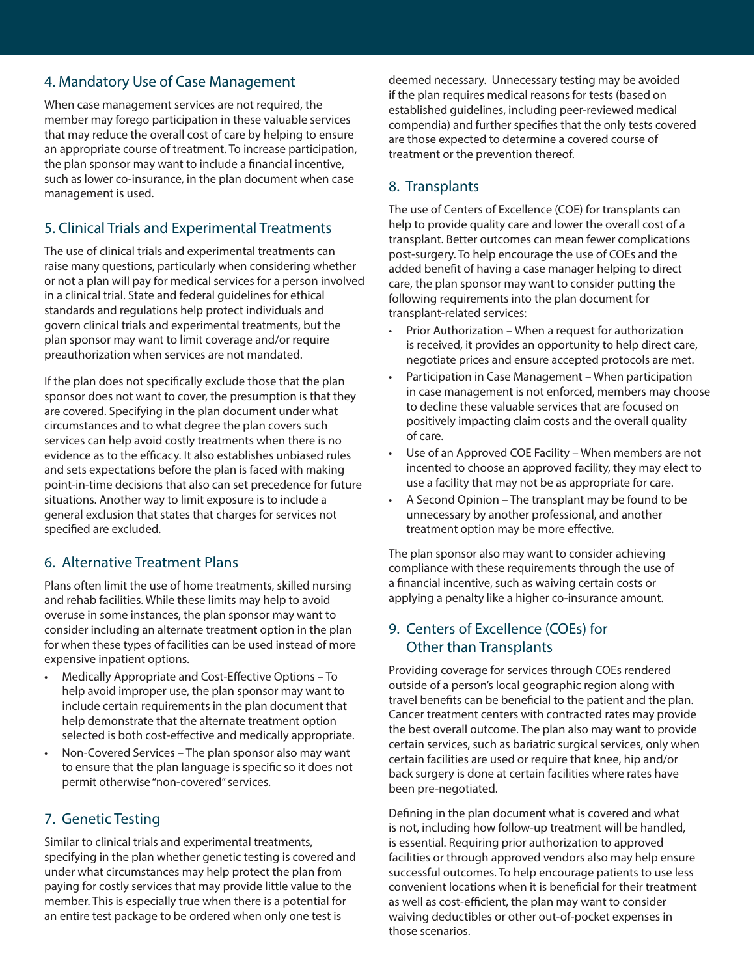#### 4. Mandatory Use of Case Management

When case management services are not required, the member may forego participation in these valuable services that may reduce the overall cost of care by helping to ensure an appropriate course of treatment. To increase participation, the plan sponsor may want to include a financial incentive, such as lower co-insurance, in the plan document when case management is used.

## 5. Clinical Trials and Experimental Treatments

The use of clinical trials and experimental treatments can raise many questions, particularly when considering whether or not a plan will pay for medical services for a person involved in a clinical trial. State and federal guidelines for ethical standards and regulations help protect individuals and govern clinical trials and experimental treatments, but the plan sponsor may want to limit coverage and/or require preauthorization when services are not mandated.

If the plan does not specifically exclude those that the plan sponsor does not want to cover, the presumption is that they are covered. Specifying in the plan document under what circumstances and to what degree the plan covers such services can help avoid costly treatments when there is no evidence as to the efficacy. It also establishes unbiased rules and sets expectations before the plan is faced with making point-in-time decisions that also can set precedence for future situations. Another way to limit exposure is to include a general exclusion that states that charges for services not specified are excluded.

## 6. Alternative Treatment Plans

Plans often limit the use of home treatments, skilled nursing and rehab facilities. While these limits may help to avoid overuse in some instances, the plan sponsor may want to consider including an alternate treatment option in the plan for when these types of facilities can be used instead of more expensive inpatient options.

- Medically Appropriate and Cost-Effective Options To help avoid improper use, the plan sponsor may want to include certain requirements in the plan document that help demonstrate that the alternate treatment option selected is both cost-effective and medically appropriate.
- Non-Covered Services The plan sponsor also may want to ensure that the plan language is specific so it does not permit otherwise "non-covered" services.

## 7. Genetic Testing

Similar to clinical trials and experimental treatments, specifying in the plan whether genetic testing is covered and under what circumstances may help protect the plan from paying for costly services that may provide little value to the member. This is especially true when there is a potential for an entire test package to be ordered when only one test is

deemed necessary. Unnecessary testing may be avoided if the plan requires medical reasons for tests (based on established guidelines, including peer-reviewed medical compendia) and further specifies that the only tests covered are those expected to determine a covered course of treatment or the prevention thereof.

# 8. Transplants

The use of Centers of Excellence (COE) for transplants can help to provide quality care and lower the overall cost of a transplant. Better outcomes can mean fewer complications post-surgery. To help encourage the use of COEs and the added benefit of having a case manager helping to direct care, the plan sponsor may want to consider putting the following requirements into the plan document for transplant-related services:

- Prior Authorization When a request for authorization is received, it provides an opportunity to help direct care, negotiate prices and ensure accepted protocols are met.
- Participation in Case Management When participation in case management is not enforced, members may choose to decline these valuable services that are focused on positively impacting claim costs and the overall quality of care.
- Use of an Approved COE Facility When members are not incented to choose an approved facility, they may elect to use a facility that may not be as appropriate for care.
- A Second Opinion The transplant may be found to be unnecessary by another professional, and another treatment option may be more effective.

The plan sponsor also may want to consider achieving compliance with these requirements through the use of a financial incentive, such as waiving certain costs or applying a penalty like a higher co-insurance amount.

## 9. Centers of Excellence (COEs) for Other than Transplants

Providing coverage for services through COEs rendered outside of a person's local geographic region along with travel benefits can be beneficial to the patient and the plan. Cancer treatment centers with contracted rates may provide the best overall outcome. The plan also may want to provide certain services, such as bariatric surgical services, only when certain facilities are used or require that knee, hip and/or back surgery is done at certain facilities where rates have been pre-negotiated.

Defining in the plan document what is covered and what is not, including how follow-up treatment will be handled, is essential. Requiring prior authorization to approved facilities or through approved vendors also may help ensure successful outcomes. To help encourage patients to use less convenient locations when it is beneficial for their treatment as well as cost-efficient, the plan may want to consider waiving deductibles or other out-of-pocket expenses in those scenarios.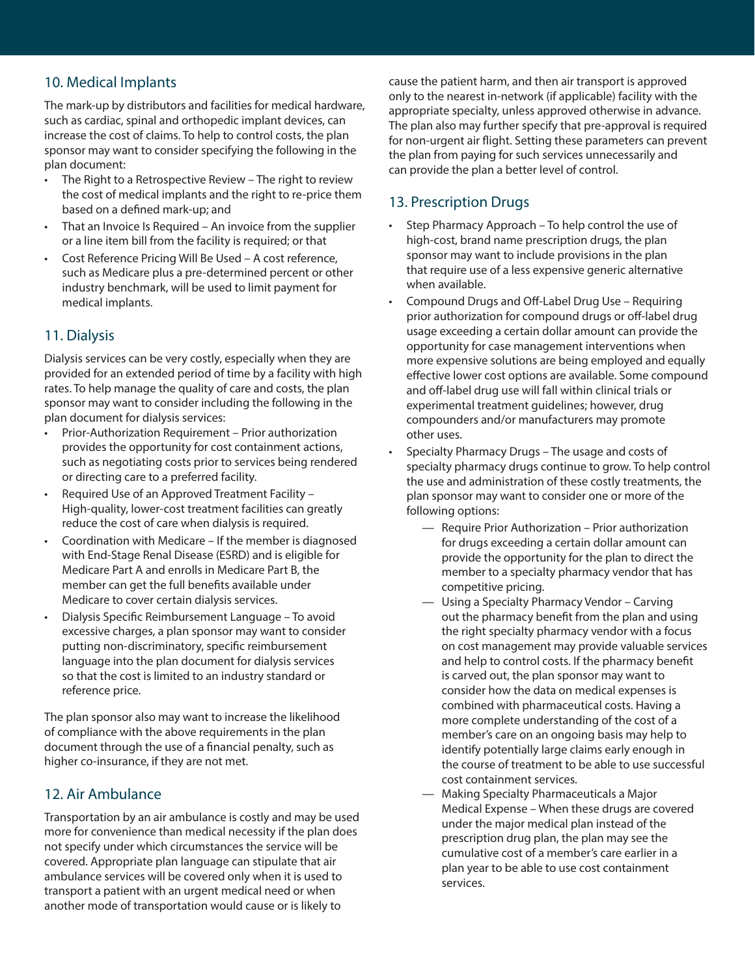## 10. Medical Implants

The mark-up by distributors and facilities for medical hardware, such as cardiac, spinal and orthopedic implant devices, can increase the cost of claims. To help to control costs, the plan sponsor may want to consider specifying the following in the plan document:

- The Right to a Retrospective Review The right to review the cost of medical implants and the right to re-price them based on a defined mark-up; and
- That an Invoice Is Required An invoice from the supplier or a line item bill from the facility is required; or that
- Cost Reference Pricing Will Be Used A cost reference, such as Medicare plus a pre-determined percent or other industry benchmark, will be used to limit payment for medical implants.

# 11. Dialysis

Dialysis services can be very costly, especially when they are provided for an extended period of time by a facility with high rates. To help manage the quality of care and costs, the plan sponsor may want to consider including the following in the plan document for dialysis services:

- Prior-Authorization Requirement Prior authorization provides the opportunity for cost containment actions, such as negotiating costs prior to services being rendered or directing care to a preferred facility.
- Required Use of an Approved Treatment Facility High-quality, lower-cost treatment facilities can greatly reduce the cost of care when dialysis is required.
- Coordination with Medicare If the member is diagnosed with End-Stage Renal Disease (ESRD) and is eligible for Medicare Part A and enrolls in Medicare Part B, the member can get the full benefits available under Medicare to cover certain dialysis services.
- Dialysis Specific Reimbursement Language To avoid excessive charges, a plan sponsor may want to consider putting non-discriminatory, specific reimbursement language into the plan document for dialysis services so that the cost is limited to an industry standard or reference price.

The plan sponsor also may want to increase the likelihood of compliance with the above requirements in the plan document through the use of a financial penalty, such as higher co-insurance, if they are not met.

# 12. Air Ambulance

Transportation by an air ambulance is costly and may be used more for convenience than medical necessity if the plan does not specify under which circumstances the service will be covered. Appropriate plan language can stipulate that air ambulance services will be covered only when it is used to transport a patient with an urgent medical need or when another mode of transportation would cause or is likely to

cause the patient harm, and then air transport is approved only to the nearest in-network (if applicable) facility with the appropriate specialty, unless approved otherwise in advance. The plan also may further specify that pre-approval is required for non-urgent air flight. Setting these parameters can prevent the plan from paying for such services unnecessarily and can provide the plan a better level of control.

# 13. Prescription Drugs

- Step Pharmacy Approach To help control the use of high-cost, brand name prescription drugs, the plan sponsor may want to include provisions in the plan that require use of a less expensive generic alternative when available.
- Compound Drugs and Off-Label Drug Use Requiring prior authorization for compound drugs or off-label drug usage exceeding a certain dollar amount can provide the opportunity for case management interventions when more expensive solutions are being employed and equally effective lower cost options are available. Some compound and off-label drug use will fall within clinical trials or experimental treatment guidelines; however, drug compounders and/or manufacturers may promote other uses.
- Specialty Pharmacy Drugs The usage and costs of specialty pharmacy drugs continue to grow. To help control the use and administration of these costly treatments, the plan sponsor may want to consider one or more of the following options:
	- Require Prior Authorization Prior authorization for drugs exceeding a certain dollar amount can provide the opportunity for the plan to direct the member to a specialty pharmacy vendor that has competitive pricing.
	- Using a Specialty Pharmacy Vendor Carving out the pharmacy benefit from the plan and using the right specialty pharmacy vendor with a focus on cost management may provide valuable services and help to control costs. If the pharmacy benefit is carved out, the plan sponsor may want to consider how the data on medical expenses is combined with pharmaceutical costs. Having a more complete understanding of the cost of a member's care on an ongoing basis may help to identify potentially large claims early enough in the course of treatment to be able to use successful cost containment services.
	- Making Specialty Pharmaceuticals a Major Medical Expense – When these drugs are covered under the major medical plan instead of the prescription drug plan, the plan may see the cumulative cost of a member's care earlier in a plan year to be able to use cost containment services.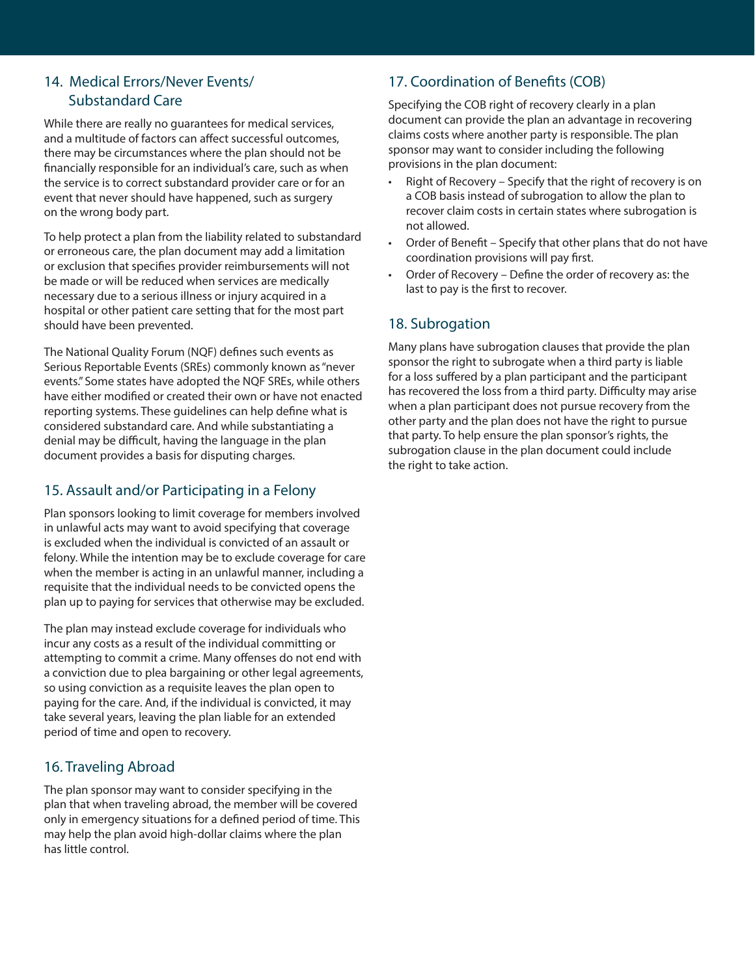# 14. Medical Errors/Never Events/ Substandard Care

While there are really no guarantees for medical services, and a multitude of factors can affect successful outcomes, there may be circumstances where the plan should not be financially responsible for an individual's care, such as when the service is to correct substandard provider care or for an event that never should have happened, such as surgery on the wrong body part.

To help protect a plan from the liability related to substandard or erroneous care, the plan document may add a limitation or exclusion that specifies provider reimbursements will not be made or will be reduced when services are medically necessary due to a serious illness or injury acquired in a hospital or other patient care setting that for the most part should have been prevented.

The National Quality Forum (NQF) defines such events as Serious Reportable Events (SREs) commonly known as "never events." Some states have adopted the NQF SREs, while others have either modified or created their own or have not enacted reporting systems. These guidelines can help define what is considered substandard care. And while substantiating a denial may be difficult, having the language in the plan document provides a basis for disputing charges.

# 15. Assault and/or Participating in a Felony

Plan sponsors looking to limit coverage for members involved in unlawful acts may want to avoid specifying that coverage is excluded when the individual is convicted of an assault or felony. While the intention may be to exclude coverage for care when the member is acting in an unlawful manner, including a requisite that the individual needs to be convicted opens the plan up to paying for services that otherwise may be excluded.

The plan may instead exclude coverage for individuals who incur any costs as a result of the individual committing or attempting to commit a crime. Many offenses do not end with a conviction due to plea bargaining or other legal agreements, so using conviction as a requisite leaves the plan open to paying for the care. And, if the individual is convicted, it may take several years, leaving the plan liable for an extended period of time and open to recovery.

## 16. Traveling Abroad

The plan sponsor may want to consider specifying in the plan that when traveling abroad, the member will be covered only in emergency situations for a defined period of time. This may help the plan avoid high-dollar claims where the plan has little control.

# 17. Coordination of Benefits (COB)

Specifying the COB right of recovery clearly in a plan document can provide the plan an advantage in recovering claims costs where another party is responsible. The plan sponsor may want to consider including the following provisions in the plan document:

- Right of Recovery Specify that the right of recovery is on a COB basis instead of subrogation to allow the plan to recover claim costs in certain states where subrogation is not allowed.
- Order of Benefit Specify that other plans that do not have coordination provisions will pay first.
- Order of Recovery Define the order of recovery as: the last to pay is the first to recover.

## 18. Subrogation

Many plans have subrogation clauses that provide the plan sponsor the right to subrogate when a third party is liable for a loss suffered by a plan participant and the participant has recovered the loss from a third party. Difficulty may arise when a plan participant does not pursue recovery from the other party and the plan does not have the right to pursue that party. To help ensure the plan sponsor's rights, the subrogation clause in the plan document could include the right to take action.